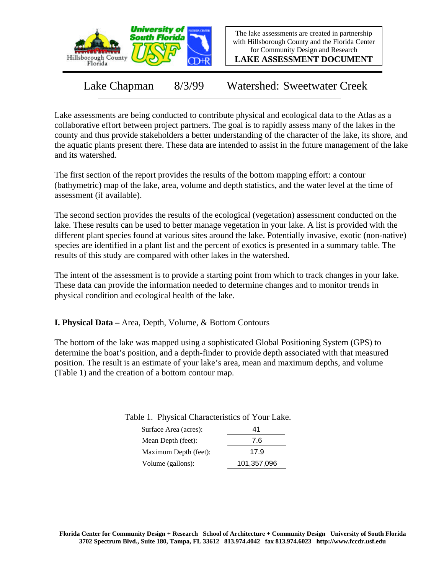

The lake assessments are created in partnership with Hillsborough County and the Florida Center for Community Design and Research

**LAKE ASSESSMENT DOCUMENT**

Lake Chapman 8/3/99 Watershed: Sweetwater Creek

Lake assessments are being conducted to contribute physical and ecological data to the Atlas as a collaborative effort between project partners. The goal is to rapidly assess many of the lakes in the county and thus provide stakeholders a better understanding of the character of the lake, its shore, and the aquatic plants present there. These data are intended to assist in the future management of the lake and its watershed.

The first section of the report provides the results of the bottom mapping effort: a contour (bathymetric) map of the lake, area, volume and depth statistics, and the water level at the time of assessment (if available).

The second section provides the results of the ecological (vegetation) assessment conducted on the lake. These results can be used to better manage vegetation in your lake. A list is provided with the different plant species found at various sites around the lake. Potentially invasive, exotic (non-native) species are identified in a plant list and the percent of exotics is presented in a summary table. The results of this study are compared with other lakes in the watershed.

The intent of the assessment is to provide a starting point from which to track changes in your lake. These data can provide the information needed to determine changes and to monitor trends in physical condition and ecological health of the lake.

**I. Physical Data –** Area, Depth, Volume, & Bottom Contours

The bottom of the lake was mapped using a sophisticated Global Positioning System (GPS) to determine the boat's position, and a depth-finder to provide depth associated with that measured position. The result is an estimate of your lake's area, mean and maximum depths, and volume (Table 1) and the creation of a bottom contour map.

| ----------            |             |
|-----------------------|-------------|
| Surface Area (acres): | 41          |
| Mean Depth (feet):    | 7.6         |
| Maximum Depth (feet): | 17.9        |
| Volume (gallons):     | 101,357,096 |

Table 1. Physical Characteristics of Your Lake.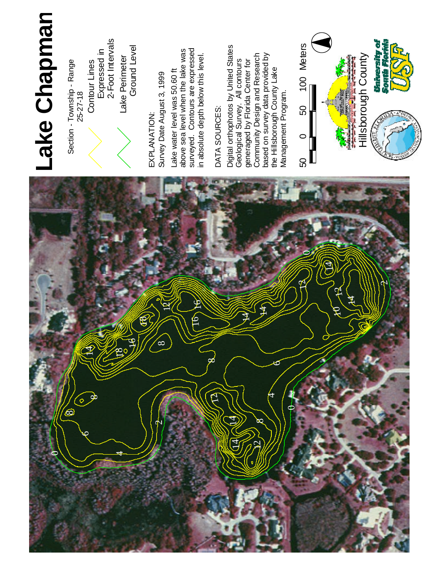

E X P L A N ATIO N : S u r v e y Date August 3, 1999 La k e water level was 0 . 6 0 f t a b o v e sea level when the lake w a s s u rv eyed. Contours a r e expressed



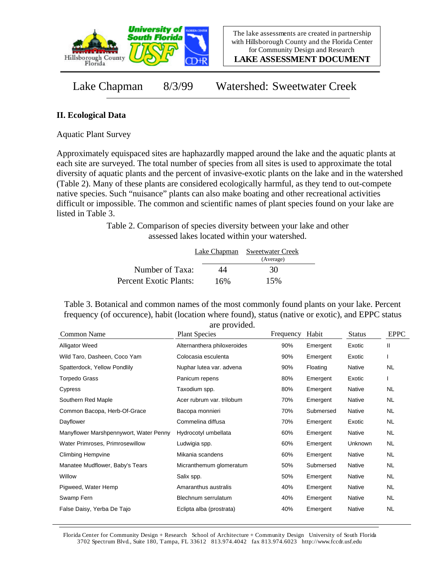

**LAKE ASSESSMENT DOCUMENT**

Lake Chapman 8/3/99 Watershed: Sweetwater Creek

## **II. Ecological Data**

Aquatic Plant Survey

Approximately equispaced sites are haphazardly mapped around the lake and the aquatic plants at each site are surveyed. The total number of species from all sites is used to approximate the total diversity of aquatic plants and the percent of invasive-exotic plants on the lake and in the watershed (Table 2). Many of these plants are considered ecologically harmful, as they tend to out-compete native species. Such "nuisance" plants can also make boating and other recreational activities difficult or impossible. The common and scientific names of plant species found on your lake are listed in Table 3.

> Table 2. Comparison of species diversity between your lake and other assessed lakes located within your watershed.

|                        | Lake Chapman | Sweetwater Creek |  |
|------------------------|--------------|------------------|--|
|                        |              | (Average)        |  |
| Number of Taxa:        | 44           | 30               |  |
| Percent Exotic Plants: | 16%          | 15%              |  |

Table 3. Botanical and common names of the most commonly found plants on your lake. Percent frequency (of occurence), habit (location where found), status (native or exotic), and EPPC status are provided.

| Common Name                            | <b>Plant Species</b>        | Frequency | Habit     | <b>Status</b> | <b>EPPC</b> |
|----------------------------------------|-----------------------------|-----------|-----------|---------------|-------------|
| <b>Alligator Weed</b>                  | Alternanthera philoxeroides | 90%       | Emergent  | Exotic        | Ш           |
| Wild Taro, Dasheen, Coco Yam           | Colocasia esculenta         | 90%       | Emergent  | Exotic        |             |
| Spatterdock, Yellow Pondlily           | Nuphar lutea var. advena    | 90%       | Floating  | Native        | NL          |
| Torpedo Grass                          | Panicum repens              | 80%       | Emergent  | Exotic        |             |
| Cypress                                | Taxodium spp.               | 80%       | Emergent  | Native        | NL.         |
| Southern Red Maple                     | Acer rubrum var. trilobum   | 70%       | Emergent  | Native        | <b>NL</b>   |
| Common Bacopa, Herb-Of-Grace           | Bacopa monnieri             | 70%       | Submersed | Native        | <b>NL</b>   |
| Dayflower                              | Commelina diffusa           | 70%       | Emergent  | Exotic        | NL.         |
| Manyflower Marshpennywort, Water Penny | Hydrocotyl umbellata        | 60%       | Emergent  | Native        | NL.         |
| Water Primroses, Primrosewillow        | Ludwigia spp.               | 60%       | Emergent  | Unknown       | NL.         |
| <b>Climbing Hempvine</b>               | Mikania scandens            | 60%       | Emergent  | Native        | NL          |
| Manatee Mudflower, Baby's Tears        | Micranthemum glomeratum     | 50%       | Submersed | Native        | NL.         |
| Willow                                 | Salix spp.                  | 50%       | Emergent  | Native        | NL.         |
| Pigweed, Water Hemp                    | Amaranthus australis        | 40%       | Emergent  | Native        | NL.         |
| Swamp Fern                             | Blechnum serrulatum         | 40%       | Emergent  | Native        | NL.         |
| False Daisy, Yerba De Tajo             | Eclipta alba (prostrata)    | 40%       | Emergent  | <b>Native</b> | NL          |

Florida Center for Community Design + Research School of Architecture + Community Design University of South Florida 3702 Spectrum Blvd., Suite 180, Tampa, FL 33612 813.974.4042 fax 813.974.6023 http://www.fccdr.usf.edu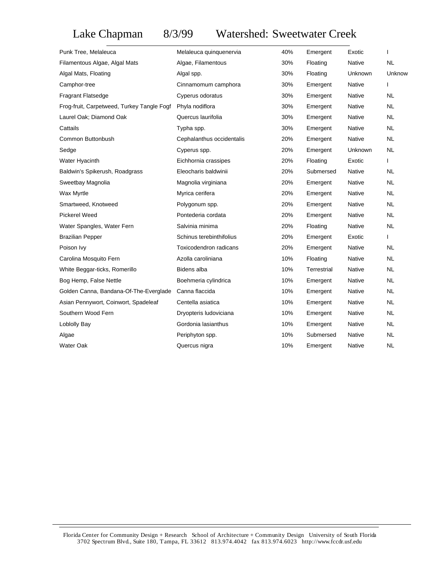# Lake Chapman 8/3/99 Watershed: Sweetwater Creek

| Punk Tree, Melaleuca                       | Melaleuca quinquenervia   | 40% | Emergent    | Exotic        | 1            |
|--------------------------------------------|---------------------------|-----|-------------|---------------|--------------|
| Filamentous Algae, Algal Mats              | Algae, Filamentous        | 30% | Floating    | Native        | <b>NL</b>    |
| Algal Mats, Floating                       | Algal spp.                | 30% | Floating    | Unknown       | Unknow       |
| Camphor-tree                               | Cinnamomum camphora       | 30% | Emergent    | Native        | $\mathbf{I}$ |
| <b>Fragrant Flatsedge</b>                  | Cyperus odoratus          | 30% | Emergent    | Native        | NL.          |
| Frog-fruit, Carpetweed, Turkey Tangle Fogf | Phyla nodiflora           | 30% | Emergent    | <b>Native</b> | <b>NL</b>    |
| Laurel Oak; Diamond Oak                    | Quercus laurifolia        | 30% | Emergent    | Native        | <b>NL</b>    |
| Cattails                                   | Typha spp.                | 30% | Emergent    | Native        | <b>NL</b>    |
| Common Buttonbush                          | Cephalanthus occidentalis | 20% | Emergent    | <b>Native</b> | <b>NL</b>    |
| Sedge                                      | Cyperus spp.              | 20% | Emergent    | Unknown       | <b>NL</b>    |
| Water Hyacinth                             | Eichhornia crassipes      | 20% | Floating    | Exotic        | T            |
| Baldwin's Spikerush, Roadgrass             | Eleocharis baldwinii      | 20% | Submersed   | Native        | <b>NL</b>    |
| Sweetbay Magnolia                          | Magnolia virginiana       | 20% | Emergent    | Native        | <b>NL</b>    |
| Wax Myrtle                                 | Myrica cerifera           | 20% | Emergent    | Native        | <b>NL</b>    |
| Smartweed, Knotweed                        | Polygonum spp.            | 20% | Emergent    | <b>Native</b> | <b>NL</b>    |
| <b>Pickerel Weed</b>                       | Pontederia cordata        | 20% | Emergent    | <b>Native</b> | <b>NL</b>    |
| Water Spangles, Water Fern                 | Salvinia minima           | 20% | Floating    | <b>Native</b> | <b>NL</b>    |
| <b>Brazilian Pepper</b>                    | Schinus terebinthifolius  | 20% | Emergent    | Exotic        | $\mathbf{I}$ |
| Poison Ivy                                 | Toxicodendron radicans    | 20% | Emergent    | Native        | <b>NL</b>    |
| Carolina Mosquito Fern                     | Azolla caroliniana        | 10% | Floating    | Native        | <b>NL</b>    |
| White Beggar-ticks, Romerillo              | Bidens alba               | 10% | Terrestrial | <b>Native</b> | <b>NL</b>    |
| Bog Hemp, False Nettle                     | Boehmeria cylindrica      | 10% | Emergent    | Native        | <b>NL</b>    |
| Golden Canna, Bandana-Of-The-Everglade     | Canna flaccida            | 10% | Emergent    | Native        | <b>NL</b>    |
| Asian Pennywort, Coinwort, Spadeleaf       | Centella asiatica         | 10% | Emergent    | Native        | <b>NL</b>    |
| Southern Wood Fern                         | Dryopteris ludoviciana    | 10% | Emergent    | Native        | <b>NL</b>    |
| Loblolly Bay                               | Gordonia lasianthus       | 10% | Emergent    | Native        | <b>NL</b>    |
| Algae                                      | Periphyton spp.           | 10% | Submersed   | <b>Native</b> | <b>NL</b>    |
| <b>Water Oak</b>                           | Quercus nigra             | 10% | Emergent    | Native        | <b>NL</b>    |
|                                            |                           |     |             |               |              |